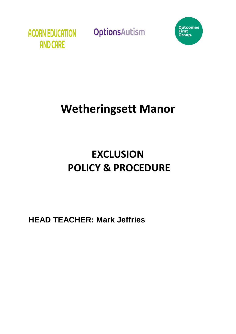



## **Wetheringsett Manor**

# **EXCLUSION POLICY & PROCEDURE**

**HEAD TEACHER: Mark Jeffries**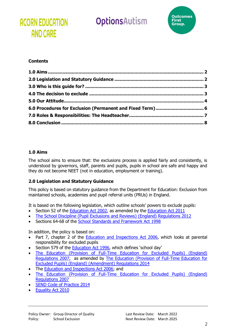### **ACORN EDUCATION AND CARE**

### OptionsAutism



#### **Contents**

| 6.0 Procedures for Exclusion (Permanent and Fixed Term) 6 |
|-----------------------------------------------------------|
|                                                           |
|                                                           |
|                                                           |

#### <span id="page-1-0"></span>**1.0 Aims**

The school aims to ensure that: the exclusions process is applied fairly and consistently, is understood by governors, staff, parents and pupils, pupils in school are safe and happy and they do not become NEET (not in education, employment or training).

#### <span id="page-1-1"></span>**2.0 Legislation and Statutory Guidance**

This policy is based on statutory guidance from the Department for Education: Exclusion from maintained schools, academies and pupil referral units (PRUs) in England.

It is based on the following legislation, which outline schools' powers to exclude pupils:

- Section 52 of the [Education Act 2002,](https://www.legislation.gov.uk/ukpga/2002/32/contents) as amended by the [Education Act 2011](https://www.legislation.gov.uk/ukpga/2011/21/contents/enacted)
- [The School Discipline \(Pupil Exclusions and Reviews\) \(England\) Regulations 2012](https://www.legislation.gov.uk/uksi/2012/1033/made)
- Sections 64-68 of the [School Standards and Framework Act 1998](https://www.legislation.gov.uk/ukpga/1998/31/contents)

In addition, the policy is based on:

- Part 7, chapter 2 of the [Education and Inspections Act 2006,](https://www.legislation.gov.uk/ukpga/2006/40/contents) which looks at parental responsibility for excluded pupils
- Section 579 of the **Education Act 1996**, which defines 'school day'
- [The Education \(Provision of Full-Time Education for Excluded Pupils\) \(England\)](https://www.legislation.gov.uk/uksi/2007/1870/contents/made)  [Regulations 2007,](https://www.legislation.gov.uk/uksi/2007/1870/contents/made) as amended by [The Education \(Provision of Full-Time Education for](https://www.legislation.gov.uk/uksi/2014/3216/contents/made)  [Excluded Pupils\) \(England\) \(Amendment\) Regulations 2014](https://www.legislation.gov.uk/uksi/2014/3216/contents/made)
- The [Education and Inspections Act 2006;](https://www.legislation.gov.uk/ukpga/2006/40/contents) and
- [The Education \(Provision of Full-Time Education for Excluded Pupils\) \(England\)](https://www.legislation.gov.uk/uksi/2007/1870/contents/made)  [Regulations 2007](https://www.legislation.gov.uk/uksi/2007/1870/contents/made)
- [SEND Code of Practice 2014](https://www.gov.uk/government/publications/send-code-of-practice-0-to-25)
- [Equality Act 2010](https://www.legislation.gov.uk/ukpga/2010/15/contents)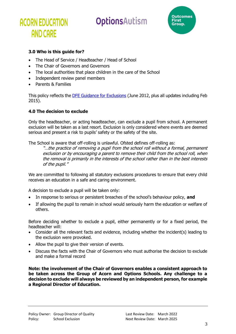### **ACORN EDUCATION AND CARE**

### OptionsAutism



#### <span id="page-2-0"></span>**3.0 Who is this guide for?**

- The Head of Service / Headteacher / Head of School
- The Chair of Governors and Governors
- The local authorities that place children in the care of the School
- Independent review panel members
- Parents & Families

This policy reflects the [DFE Guidance for Exclusions](https://www.gov.uk/government/publications/school-exclusion) (June 2012, plus all updates including Feb 2015).

#### <span id="page-2-1"></span>**4.0 The decision to exclude**

Only the headteacher, or acting headteacher, can exclude a pupil from school. A permanent exclusion will be taken as a last resort. Exclusion is only considered where events are deemed serious and present a risk to pupils' safety or the safety of the site.

The School is aware that off-rolling is unlawful. Ofsted defines off-rolling as:

"...the practice of removing a pupil from the school roll without a formal, permanent exclusion or by encouraging a parent to remove their child from the school roll, when the removal is primarily in the interests of the school rather than in the best interests of the pupil."

We are committed to following all statutory exclusions procedures to ensure that every child receives an education in a safe and caring environment.

A decision to exclude a pupil will be taken only:

- In response to serious or persistent breaches of the school's behaviour policy, **and**
- If allowing the pupil to remain in school would seriously harm the education or welfare of others.

Before deciding whether to exclude a pupil, either permanently or for a fixed period, the headteacher will:

- Consider all the relevant facts and evidence, including whether the incident(s) leading to the exclusion were provoked.
- Allow the pupil to give their version of events.
- Discuss the facts with the Chair of Governors who must authorise the decision to exclude and make a formal record

**Note: the involvement of the Chair of Governors enables a consistent approach to be taken across the Group of Acorn and Options Schools. Any challenge to a decision to exclude will always be reviewed by an independent person, for example a Regional Director of Education.**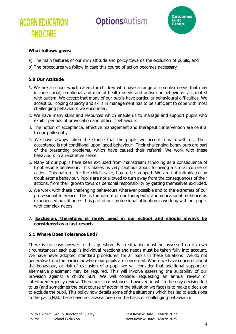

## **AND CARE**

**ACORN EDUCATION** 

#### **What follows gives:**

- a) The main features of our own attitude and policy towards the exclusion of pupils, and
- b) The procedures we follow in case this course of action becomes necessary

#### <span id="page-3-0"></span>**5.0 Our Attitude**

- 1. We are a school which caters for children who have a range of complex needs that may include social, emotional and mental health needs and autism or behaviours associated with autism. We accept that many of our pupils have particular behavioural difficulties. We accept our coping capacity and skills in management has to be sufficient to cope with most challenging behaviours we encounter.
- 2. We have many skills and resources which enable us to manage and support pupils who exhibit periods of provocation and difficult behaviours.
- 3. The notion of acceptance, effective management and therapeutic intervention are central to our philosophy.
- 4. We have always taken the stance that the pupils we accept remain with us. Their acceptance is not conditional upon 'good behaviour'. Their challenging behaviours are part of the presenting problems, which have caused their referral. We work with these behaviours in a reparative sense.
- 5. Many of our pupils have been excluded from mainstream schooling as a consequence of troublesome behaviour. This makes us very cautious about following a similar course of action. This pattern, for the child's sake, has to be stopped. We are not intimidated by troublesome behaviour. Pupils are not allowed to turn away from the consequences of their actions, from their growth towards personal responsibility by getting themselves excluded.
- 6. We work with these challenging behaviours wherever possible and to the extremes of our professional tolerance. This is the nature of our therapeutic and educational resilience as experienced practitioners. It is part of our professional obligation in working with our pupils with complex needs.

#### 7. **Exclusion, therefore, is rarely used in our school and should always be considered as a last resort.**

#### **5.1 Where Does Tolerance End?**

There is no easy answer to this question. Each situation must be assessed on its own circumstances; each pupil's individual reactions and needs must be taken fully into account. We have never adopted 'standard procedures' for all pupils in these situations. We do not generalise from the particular where our pupils are concerned. Where we have concerns about the behaviour, or risk of exclusion of a pupil we will consider that additional support or alternative placement may be required. This will involve assessing the suitability of our provision against a child's SEN. We will consider requesting an annual review or interim/emergency review. There are circumstances, however, in which the only decision left to us (and sometimes the best course of action in the situation we face) is to make a decision to exclude the pupil. This policy now details some of the situations which has led to exclusions in the past (N.B. these have not always been on the basis of challenging behaviour).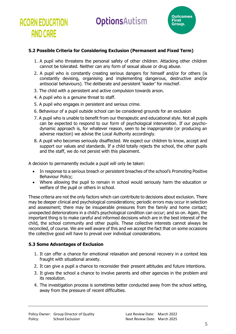

#### **5.2 Possible Criteria for Considering Exclusion (Permanent and Fixed Term)**

- 1. A pupil who threatens the personal safety of other children. Attacking other children cannot be tolerated. Neither can any form of sexual abuse or drug abuse.
- 2. A pupil who is constantly creating serious dangers for himself and/or for others (is constantly devising, organising and implementing dangerous, destructive and/or antisocial behaviours). The deliberate and persistent 'leader' for mischief.
- 3. The child with a persistent and active compulsion towards arson.
- 4. A pupil who is a genuine threat to staff.

**ACORN EDUCATION** 

**AND CARE** 

- 5. A pupil who engages in persistent and serious crime.
- 6. Behaviour of a pupil outside school can be considered grounds for an exclusion
- 7. A pupil who is unable to benefit from our therapeutic and educational style. Not all pupils can be expected to respond to our form of psychological intervention. If our psychodynamic approach is, for whatever reason, seen to be inappropriate (or producing an adverse reaction) we advise the Local Authority accordingly.
- 8. A pupil who becomes seriously disaffected. We expect our children to know, accept and support our values and standards. If a child totally rejects the school, the other pupils and the staff, we do not persist with this placement.

A decision to permanently exclude a pupil will only be taken:

- In response to a serious breach or persistent breaches of the school's Promoting Positive Behaviour Policy;
- Where allowing the pupil to remain in school would seriously harm the education or welfare of the pupil or others in school.

These criteria are not the only factors which can contribute to decisions about exclusion. There may be deeper clinical and psychological considerations; periodic errors may occur in selection and assessment; there may be insuperable pressures from the family and home contact; unexpected deteriorations in a child's psychological condition can occur; and so on. Again, the important thing is to make careful and informed decisions which are in the best interest of the child, the school community and other pupils. These collective interests cannot always be reconciled, of course. We are well aware of this and we accept the fact that on some occasions the collective good will have to prevail over individual considerations.

#### **5.3 Some Advantages of Exclusion**

- 1. It can offer a chance for emotional relaxation and personal recovery in a context less fraught with situational anxiety.
- 2. It can give a pupil a chance to reconsider their present attitudes and future intentions.
- 3. It gives the school a chance to involve parents and other agencies in the problem and its resolution.
- 4. The investigation process is sometimes better conducted away from the school setting, away from the pressure of recent difficulties.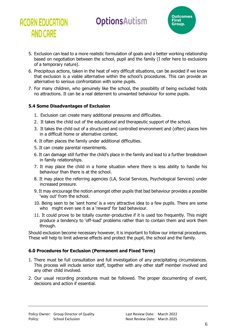

- 5. Exclusion can lead to a more realistic formulation of goals and a better working relationship based on negotiation between the school, pupil and the family (I refer here to exclusions of a temporary nature).
- 6. Precipitous actions, taken in the heat of very difficult situations, can be avoided if we know that exclusion is a viable alternative within the school's procedures. This can provide an alternative to serious confrontation with some pupils.
- 7. For many children, who genuinely like the school, the possibility of being excluded holds no attractions. It can be a real deterrent to unwanted behaviour for some pupils.

#### **5.4 Some Disadvantages of Exclusion**

**ACORN EDUCATION** 

**AND CARE** 

- 1. Exclusion can create many additional pressures and difficulties.
- 2. It takes the child out of the educational and therapeutic support of the school.
- 3. It takes the child out of a structured and controlled environment and (often) places him in a difficult home or alternative context.
- 4. It often places the family under additional difficulties.
- 5. It can create parental resentments.
- 6. It can damage still further the child's place in the family and lead to a further breakdown in family relationships.
- 7. It may place the child in a home situation where there is less ability to handle his behaviour than there is at the school.
- 8. It may place the referring agencies (LA, Social Services, Psychological Services) under increased pressure.
- 9. It may encourage the notion amongst other pupils that bad behaviour provides a possible 'way out' from the school.
- 10. Being seen to be 'sent home' is a very attractive idea to a few pupils. There are some who might even see it as a 'reward' for bad behaviour.
- 11. It could prove to be totally counter-productive if it is used too frequently. This might produce a tendency to 'off-load' problems rather than to contain them and work them through.

Should exclusion become necessary however, it is important to follow our internal procedures. These will help to limit adverse effects and protect the pupil, the school and the family.

#### <span id="page-5-0"></span>**6.0 Procedures for Exclusion (Permanent and Fixed Term)**

- 1. There must be full consultation and full investigation of any precipitating circumstances. This process will include senior staff, together with any other staff member involved and any other child involved.
- 2. Our usual recording procedures must be followed. The proper documenting of event, decisions and action if essential.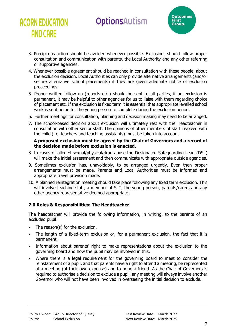

- 3. Precipitous action should be avoided whenever possible. Exclusions should follow proper consultation and communication with parents, the Local Authority and any other referring or supportive agencies.
- 4. Whenever possible agreement should be reached in consultation with these people, about the exclusion decision. Local Authorities can only provide alternative arrangements (and/or secure alternative school placements) if they are given adequate notice of exclusion proceedings.
- 5. Proper written follow up (reports etc.) should be sent to all parties, if an exclusion is permanent, it may be helpful to other agencies for us to liaise with them regarding choice of placement etc. If the exclusion is fixed term it is essential that appropriate levelled school work is sent home for the young person to complete during the exclusion period.
- 6. Further meetings for consultation, planning and decision making may need to be arranged.
- 7. The school-based decision about exclusion will ultimately rest with the Headteacher in consultation with other senior staff. The opinions of other members of staff involved with the child (i.e. teachers and teaching assistants) must be taken into account.

#### **A proposed exclusion must be agreed by the Chair of Governors and a record of the decision made before exclusion is enacted.**

- 8. In cases of alleged sexual/physical/drug abuse the Designated Safeguarding Lead (DSL) will make the initial assessment and then communicate with appropriate outside agencies.
- 9. Sometimes exclusion has, unavoidably, to be arranged urgently. Even then proper arrangements must be made. Parents and Local Authorities must be informed and appropriate travel provision made.
- 10. A planned reintegration meeting should take place following any fixed term exclusion. This will involve teaching staff, a member of SLT, the young person, parents/carers and any other agency representative deemed appropriate.

#### <span id="page-6-0"></span>**7.0 Roles & Responsibilities: The Headteacher**

The headteacher will provide the following information, in writing, to the parents of an excluded pupil:

The reason(s) for the exclusion.

**ACORN EDUCATION** 

**AND CARE** 

- The length of a fixed-term exclusion or, for a permanent exclusion, the fact that it is permanent.
- Information about parents' right to make representations about the exclusion to the governing board and how the pupil may be involved in this.
- Where there is a legal requirement for the governing board to meet to consider the reinstatement of a pupil, and that parents have a right to attend a meeting, be represented at a meeting (at their own expense) and to bring a friend. As the Chair of Governors is required to authorise a decision to exclude a pupil, any meeting will always involve another Governor who will not have been involved in overseeing the initial decision to exclude.